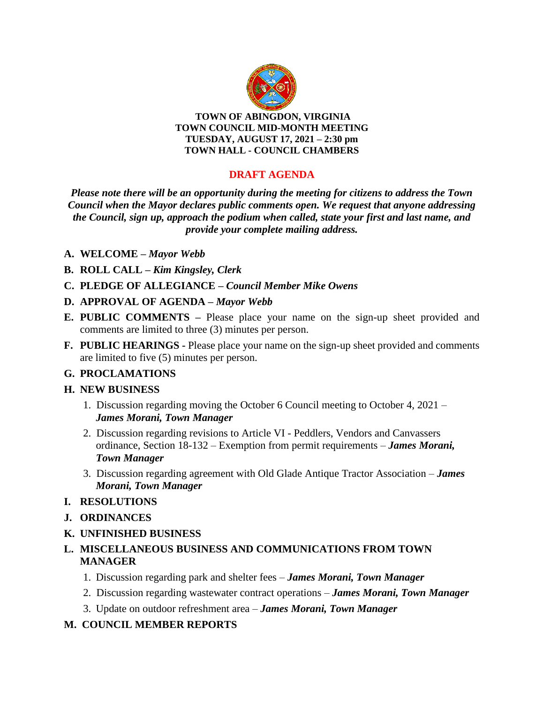

**TOWN OF ABINGDON, VIRGINIA TOWN COUNCIL MID-MONTH MEETING TUESDAY, AUGUST 17, 2021 – 2:30 pm TOWN HALL - COUNCIL CHAMBERS**

## **DRAFT AGENDA**

*Please note there will be an opportunity during the meeting for citizens to address the Town Council when the Mayor declares public comments open. We request that anyone addressing the Council, sign up, approach the podium when called, state your first and last name, and provide your complete mailing address.*

#### **A. WELCOME –** *Mayor Webb*

- **B. ROLL CALL –** *Kim Kingsley, Clerk*
- **C. PLEDGE OF ALLEGIANCE –** *Council Member Mike Owens*
- **D. APPROVAL OF AGENDA –** *Mayor Webb*
- **E. PUBLIC COMMENTS –** Please place your name on the sign-up sheet provided and comments are limited to three (3) minutes per person.
- **F. PUBLIC HEARINGS -** Please place your name on the sign-up sheet provided and comments are limited to five (5) minutes per person.

### **G. PROCLAMATIONS**

#### **H. NEW BUSINESS**

- 1. Discussion regarding moving the October 6 Council meeting to October 4, 2021 *James Morani, Town Manager*
- 2. Discussion regarding revisions to Article VI Peddlers, Vendors and Canvassers ordinance, Section 18-132 – Exemption from permit requirements – *James Morani, Town Manager*
- 3. Discussion regarding agreement with Old Glade Antique Tractor Association *James Morani, Town Manager*
- **I. RESOLUTIONS**
- **J. ORDINANCES**
- **K. UNFINISHED BUSINESS**
- **L. MISCELLANEOUS BUSINESS AND COMMUNICATIONS FROM TOWN MANAGER**
	- 1. Discussion regarding park and shelter fees *James Morani, Town Manager*
	- 2. Discussion regarding wastewater contract operations *James Morani, Town Manager*
	- 3. Update on outdoor refreshment area *James Morani, Town Manager*

### **M. COUNCIL MEMBER REPORTS**